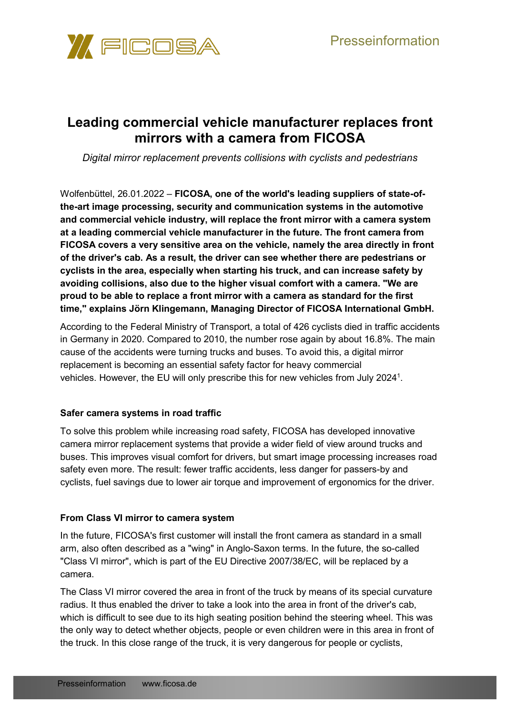

# **Leading commercial vehicle manufacturer replaces front mirrors with a camera from FICOSA**

*Digital mirror replacement prevents collisions with cyclists and pedestrians*

Wolfenbüttel, 26.01.2022 – **FICOSA, one of the world's leading suppliers of state-ofthe-art image processing, security and communication systems in the automotive and commercial vehicle industry, will replace the front mirror with a camera system at a leading commercial vehicle manufacturer in the future. The front camera from FICOSA covers a very sensitive area on the vehicle, namely the area directly in front of the driver's cab. As a result, the driver can see whether there are pedestrians or cyclists in the area, especially when starting his truck, and can increase safety by avoiding collisions, also due to the higher visual comfort with a camera. "We are proud to be able to replace a front mirror with a camera as standard for the first time," explains Jörn Klingemann, Managing Director of FICOSA International GmbH.**

According to the Federal Ministry of Transport, a total of 426 cyclists died in traffic accidents in Germany in 2020. Compared to 2010, the number rose again by about 16.8%. The main cause of the accidents were turning trucks and buses. To avoid this, a digital mirror replacement is becoming an essential safety factor for heavy commercial vehicles. However, the EU will only prescribe this for new vehicles from July 2024 $^{\rm 1}.$ 

## **Safer camera systems in road traffic**

To solve this problem while increasing road safety, FICOSA has developed innovative camera mirror replacement systems that provide a wider field of view around trucks and buses. This improves visual comfort for drivers, but smart image processing increases road safety even more. The result: fewer traffic accidents, less danger for passers-by and cyclists, fuel savings due to lower air torque and improvement of ergonomics for the driver.

## **From Class VI mirror to camera system**

In the future, FICOSA's first customer will install the front camera as standard in a small arm, also often described as a "wing" in Anglo-Saxon terms. In the future, the so-called "Class VI mirror", which is part of the EU Directive 2007/38/EC, will be replaced by a camera.

The Class VI mirror covered the area in front of the truck by means of its special curvature radius. It thus enabled the driver to take a look into the area in front of the driver's cab, which is difficult to see due to its high seating position behind the steering wheel. This was the only way to detect whether objects, people or even children were in this area in front of the truck. In this close range of the truck, it is very dangerous for people or cyclists,